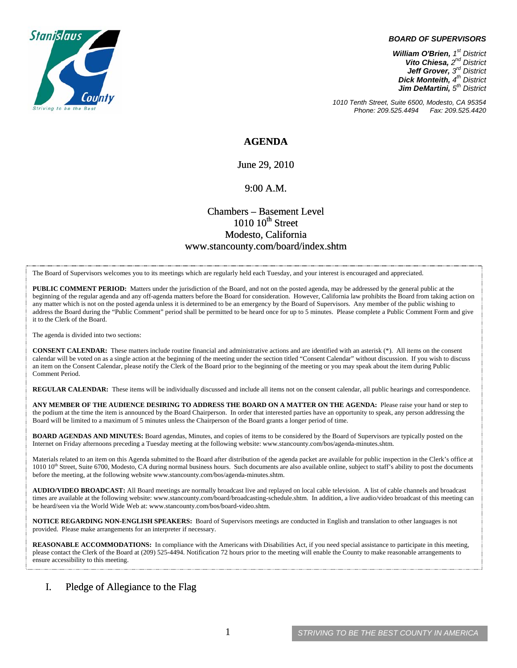

#### *BOARD OF SUPERVISORS*

*William O'Brien, 1st District Vito Chiesa, 2nd District Jeff Grover, 3rd District Dick Monteith, 4th District Jim DeMartini, 5th District*

*1010 Tenth Street, Suite 6500, Modesto, CA 95354 Phone: 209.525.4494* 

### **AGENDA**

June 29, 2010

### 9:00 A.M.

## Chambers – Basement Level  $1010~10$ <sup>th</sup> Street Modesto, California www.stancounty.com/board/index.shtm

The Board of Supervisors welcomes you to its meetings which are regularly held each Tuesday, and your interest is encouraged and appreciated.

**PUBLIC COMMENT PERIOD:** Matters under the jurisdiction of the Board, and not on the posted agenda, may be addressed by the general public at the beginning of the regular agenda and any off-agenda matters before the Board for consideration. However, California law prohibits the Board from taking action on any matter which is not on the posted agenda unless it is determined to be an emergency by the Board of Supervisors. Any member of the public wishing to address the Board during the "Public Comment" period shall be permitted to be heard once for up to 5 minutes. Please complete a Public Comment Form and give it to the Clerk of the Board.

The agenda is divided into two sections:

**CONSENT CALENDAR:** These matters include routine financial and administrative actions and are identified with an asterisk (\*). All items on the consent calendar will be voted on as a single action at the beginning of the meeting under the section titled "Consent Calendar" without discussion. If you wish to discuss an item on the Consent Calendar, please notify the Clerk of the Board prior to the beginning of the meeting or you may speak about the item during Public Comment Period.

**REGULAR CALENDAR:** These items will be individually discussed and include all items not on the consent calendar, all public hearings and correspondence.

**ANY MEMBER OF THE AUDIENCE DESIRING TO ADDRESS THE BOARD ON A MATTER ON THE AGENDA:** Please raise your hand or step to the podium at the time the item is announced by the Board Chairperson. In order that interested parties have an opportunity to speak, any person addressing the Board will be limited to a maximum of 5 minutes unless the Chairperson of the Board grants a longer period of time.

**BOARD AGENDAS AND MINUTES:** Board agendas, Minutes, and copies of items to be considered by the Board of Supervisors are typically posted on the Internet on Friday afternoons preceding a Tuesday meeting at the following website: www.stancounty.com/bos/agenda-minutes.shtm.

Materials related to an item on this Agenda submitted to the Board after distribution of the agenda packet are available for public inspection in the Clerk's office at 1010 10<sup>th</sup> Street, Suite 6700, Modesto, CA during normal business hours. Such documents are also available online, subject to staff's ability to post the documents before the meeting, at the following website www.stancounty.com/bos/agenda-minutes.shtm.

**AUDIO/VIDEO BROADCAST:** All Board meetings are normally broadcast live and replayed on local cable television. A list of cable channels and broadcast times are available at the following website: www.stancounty.com/board/broadcasting-schedule.shtm. In addition, a live audio/video broadcast of this meeting can be heard/seen via the World Wide Web at: www.stancounty.com/bos/board-video.shtm.

**NOTICE REGARDING NON-ENGLISH SPEAKERS:** Board of Supervisors meetings are conducted in English and translation to other languages is not provided. Please make arrangements for an interpreter if necessary.

**REASONABLE ACCOMMODATIONS:** In compliance with the Americans with Disabilities Act, if you need special assistance to participate in this meeting, please contact the Clerk of the Board at (209) 525-4494. Notification 72 hours prior to the meeting will enable the County to make reasonable arrangements to ensure accessibility to this meeting.

### I. Pledge of Allegiance to the Flag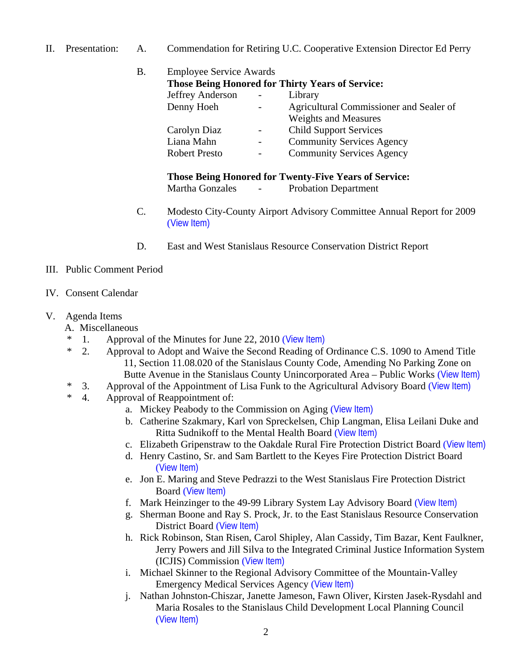II. Presentation: A. Commendation for Retiring U.C. Cooperative Extension Director Ed Perry

| Β. | <b>Employee Service Awards</b><br><b>Those Being Honored for Thirty Years of Service:</b> |            |                                  |
|----|-------------------------------------------------------------------------------------------|------------|----------------------------------|
|    |                                                                                           |            |                                  |
|    |                                                                                           | Denny Hoeh |                                  |
|    |                                                                                           |            | <b>Weights and Measures</b>      |
|    | Carolyn Diaz                                                                              |            | <b>Child Support Services</b>    |
|    | Liana Mahn                                                                                |            | <b>Community Services Agency</b> |
|    | <b>Robert Presto</b>                                                                      |            | <b>Community Services Agency</b> |
|    | <b>Those Being Honored for Twenty-Five Years of Service:</b>                              |            |                                  |
|    | <b>Martha Gonzales</b>                                                                    |            | <b>Probation Department</b>      |

- C. Modesto City-County Airport Advisory Committee Annual Report for 2009 ([View Item\)](http://www.stancounty.com/bos/agenda/2010/20100629/PresentationC.pdf)
- D. East and West Stanislaus Resource Conservation District Report
- III. Public Comment Period
- IV. Consent Calendar
- V. Agenda Items
	- A. Miscellaneous
	- \* 1. Approval of the Minutes for June 22, 2010 ([View Item\)](http://www.stancounty.com/bos/minutes/2010/min06-22-10.pdf)
	- \* 2. Approval to Adopt and Waive the Second Reading of Ordinance C.S. 1090 to Amend Title 11, Section 11.08.020 of the Stanislaus County Code, Amending No Parking Zone on Butte Avenue in the Stanislaus County Unincorporated Area – Public Works ([View Item\)](http://www.stancounty.com/bos/agenda/2010/20100629/A02.pdf)
	- \* 3. Approval of the Appointment of Lisa Funk to the Agricultural Advisory Board ([View Item\)](http://www.stancounty.com/bos/agenda/2010/20100629/A03.pdf)
	- \* 4. Approval of Reappointment of:
		- a. Mickey Peabody to the Commission on Aging ([View Item\)](http://www.stancounty.com/bos/agenda/2010/20100629/A04a.pdf)
		- b. Catherine Szakmary, Karl von Spreckelsen, Chip Langman, Elisa Leilani Duke and Ritta Sudnikoff to the Mental Health Board ([View Item\)](http://www.stancounty.com/bos/agenda/2010/20100629/A04b.pdf)
		- c. Elizabeth Gripenstraw to the Oakdale Rural Fire Protection District Board ([View Item\)](http://www.stancounty.com/bos/agenda/2010/20100629/A04c.pdf)
		- d. Henry Castino, Sr. and Sam Bartlett to the Keyes Fire Protection District Board ([View Item\)](http://www.stancounty.com/bos/agenda/2010/20100629/A04d.pdf)
		- e. Jon E. Maring and Steve Pedrazzi to the West Stanislaus Fire Protection District Board ([View Item\)](http://www.stancounty.com/bos/agenda/2010/20100629/A04e.pdf)
		- f. Mark Heinzinger to the 49-99 Library System Lay Advisory Board ([View Item\)](http://www.stancounty.com/bos/agenda/2010/20100629/A04f.pdf)
		- g. Sherman Boone and Ray S. Prock, Jr. to the East Stanislaus Resource Conservation District Board ([View Item\)](http://www.stancounty.com/bos/agenda/2010/20100629/A04g.pdf)
		- h. Rick Robinson, Stan Risen, Carol Shipley, Alan Cassidy, Tim Bazar, Kent Faulkner, Jerry Powers and Jill Silva to the Integrated Criminal Justice Information System (ICJIS) Commission ([View Item\)](http://www.stancounty.com/bos/agenda/2010/20100629/A04h.pdf)
		- i. Michael Skinner to the Regional Advisory Committee of the Mountain-Valley Emergency Medical Services Agency ([View Item\)](http://www.stancounty.com/bos/agenda/2010/20100629/A04i.pdf)
		- j. Nathan Johnston-Chiszar, Janette Jameson, Fawn Oliver, Kirsten Jasek-Rysdahl and Maria Rosales to the Stanislaus Child Development Local Planning Council ([View Item\)](http://www.stancounty.com/bos/agenda/2010/20100629/A04j.pdf)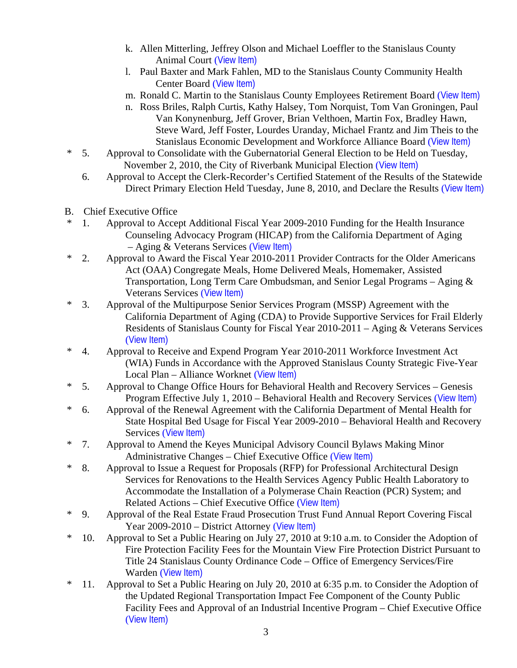- k. Allen Mitterling, Jeffrey Olson and Michael Loeffler to the Stanislaus County Animal Court ([View Item\)](http://www.stancounty.com/bos/agenda/2010/20100629/A04k.pdf)
- l. Paul Baxter and Mark Fahlen, MD to the Stanislaus County Community Health Center Board ([View Item\)](http://www.stancounty.com/bos/agenda/2010/20100629/A04l.pdf)
- m. Ronald C. Martin to the Stanislaus County Employees Retirement Board ([View Item\)](http://www.stancounty.com/bos/agenda/2010/20100629/A04m.pdf)
- n. Ross Briles, Ralph Curtis, Kathy Halsey, Tom Norquist, Tom Van Groningen, Paul Van Konynenburg, Jeff Grover, Brian Velthoen, Martin Fox, Bradley Hawn, Steve Ward, Jeff Foster, Lourdes Uranday, Michael Frantz and Jim Theis to the Stanislaus Economic Development and Workforce Alliance Board ([View Item\)](http://www.stancounty.com/bos/agenda/2010/20100629/A04n.pdf)
- \* 5. Approval to Consolidate with the Gubernatorial General Election to be Held on Tuesday, November 2, 2010, the City of Riverbank Municipal Election ([View Item\)](http://www.stancounty.com/bos/agenda/2010/20100629/A05.pdf)
	- 6. Approval to Accept the Clerk-Recorder's Certified Statement of the Results of the Statewide Direct Primary Election Held Tuesday, June 8, 2010, and Declare the Results ([View Item\)](http://www.stancounty.com/bos/agenda/2010/20100629/A06.pdf)
- B. Chief Executive Office
- \* 1. Approval to Accept Additional Fiscal Year 2009-2010 Funding for the Health Insurance Counseling Advocacy Program (HICAP) from the California Department of Aging – Aging & Veterans Services ([View Item\)](http://www.stancounty.com/bos/agenda/2010/20100629/B01.pdf)
- \* 2. Approval to Award the Fiscal Year 2010-2011 Provider Contracts for the Older Americans Act (OAA) Congregate Meals, Home Delivered Meals, Homemaker, Assisted Transportation, Long Term Care Ombudsman, and Senior Legal Programs – Aging & Veterans Services ([View Item\)](http://www.stancounty.com/bos/agenda/2010/20100629/B02.pdf)
- \* 3. Approval of the Multipurpose Senior Services Program (MSSP) Agreement with the California Department of Aging (CDA) to Provide Supportive Services for Frail Elderly Residents of Stanislaus County for Fiscal Year 2010-2011 – Aging & Veterans Services ([View Item\)](http://www.stancounty.com/bos/agenda/2010/20100629/B03.pdf)
- \* 4. Approval to Receive and Expend Program Year 2010-2011 Workforce Investment Act (WIA) Funds in Accordance with the Approved Stanislaus County Strategic Five-Year Local Plan – Alliance Worknet ([View Item\)](http://www.stancounty.com/bos/agenda/2010/20100629/B04.pdf)
- \* 5. Approval to Change Office Hours for Behavioral Health and Recovery Services Genesis Program Effective July 1, 2010 – Behavioral Health and Recovery Services ([View Item\)](http://www.stancounty.com/bos/agenda/2010/20100629/B05.pdf)
- \* 6. Approval of the Renewal Agreement with the California Department of Mental Health for State Hospital Bed Usage for Fiscal Year 2009-2010 – Behavioral Health and Recovery Services ([View Item\)](http://www.stancounty.com/bos/agenda/2010/20100629/B06.pdf)
- \* 7. Approval to Amend the Keyes Municipal Advisory Council Bylaws Making Minor Administrative Changes – Chief Executive Office ([View Item\)](http://www.stancounty.com/bos/agenda/2010/20100629/B07.pdf)
- \* 8. Approval to Issue a Request for Proposals (RFP) for Professional Architectural Design Services for Renovations to the Health Services Agency Public Health Laboratory to Accommodate the Installation of a Polymerase Chain Reaction (PCR) System; and Related Actions – Chief Executive Office ([View Item\)](http://www.stancounty.com/bos/agenda/2010/20100629/B08.pdf)
- \* 9. Approval of the Real Estate Fraud Prosecution Trust Fund Annual Report Covering Fiscal Year 2009-2010 – District Attorney ([View Item\)](http://www.stancounty.com/bos/agenda/2010/20100629/B09.pdf)
- \* 10. Approval to Set a Public Hearing on July 27, 2010 at 9:10 a.m. to Consider the Adoption of Fire Protection Facility Fees for the Mountain View Fire Protection District Pursuant to Title 24 Stanislaus County Ordinance Code – Office of Emergency Services/Fire Warden ([View Item\)](http://www.stancounty.com/bos/agenda/2010/20100629/B10.pdf)
- \* 11. Approval to Set a Public Hearing on July 20, 2010 at 6:35 p.m. to Consider the Adoption of the Updated Regional Transportation Impact Fee Component of the County Public Facility Fees and Approval of an Industrial Incentive Program – Chief Executive Office ([View Item\)](http://www.stancounty.com/bos/agenda/2010/20100629/B11.pdf)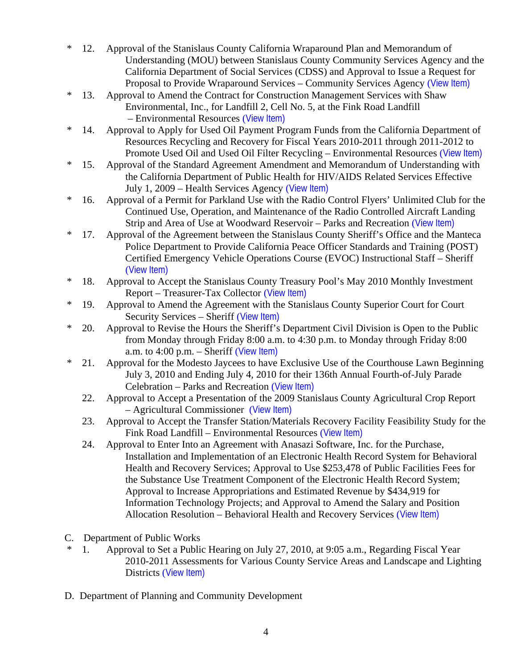- \* 12. Approval of the Stanislaus County California Wraparound Plan and Memorandum of Understanding (MOU) between Stanislaus County Community Services Agency and the California Department of Social Services (CDSS) and Approval to Issue a Request for Proposal to Provide Wraparound Services – Community Services Agency ([View Item\)](http://www.stancounty.com/bos/agenda/2010/20100629/B12.pdf)
- \* 13. Approval to Amend the Contract for Construction Management Services with Shaw Environmental, Inc., for Landfill 2, Cell No. 5, at the Fink Road Landfill – Environmental Resources ([View Item\)](http://www.stancounty.com/bos/agenda/2010/20100629/B13.pdf)
- \* 14. Approval to Apply for Used Oil Payment Program Funds from the California Department of Resources Recycling and Recovery for Fiscal Years 2010-2011 through 2011-2012 to Promote Used Oil and Used Oil Filter Recycling – Environmental Resources ([View Item\)](http://www.stancounty.com/bos/agenda/2010/20100629/B14.pdf)
- \* 15. Approval of the Standard Agreement Amendment and Memorandum of Understanding with the California Department of Public Health for HIV/AIDS Related Services Effective July 1, 2009 – Health Services Agency ([View Item\)](http://www.stancounty.com/bos/agenda/2010/20100629/B15.pdf)
- \* 16. Approval of a Permit for Parkland Use with the Radio Control Flyers' Unlimited Club for the Continued Use, Operation, and Maintenance of the Radio Controlled Aircraft Landing Strip and Area of Use at Woodward Reservoir – Parks and Recreation ([View Item\)](http://www.stancounty.com/bos/agenda/2010/20100629/B16.pdf)
- \* 17. Approval of the Agreement between the Stanislaus County Sheriff's Office and the Manteca Police Department to Provide California Peace Officer Standards and Training (POST) Certified Emergency Vehicle Operations Course (EVOC) Instructional Staff – Sheriff ([View Item\)](http://www.stancounty.com/bos/agenda/2010/20100629/B17.pdf)
- \* 18. Approval to Accept the Stanislaus County Treasury Pool's May 2010 Monthly Investment Report – Treasurer-Tax Collector ([View Item\)](http://www.stancounty.com/bos/agenda/2010/20100629/B18.pdf)
- \* 19. Approval to Amend the Agreement with the Stanislaus County Superior Court for Court Security Services – Sheriff ([View Item\)](http://www.stancounty.com/bos/agenda/2010/20100629/B19.pdf)
- \* 20. Approval to Revise the Hours the Sheriff's Department Civil Division is Open to the Public from Monday through Friday 8:00 a.m. to 4:30 p.m. to Monday through Friday 8:00 a.m. to  $4:00$  p.m. – Sheriff ([View Item\)](http://www.stancounty.com/bos/agenda/2010/20100629/B20.pdf)
- \* 21. Approval for the Modesto Jaycees to have Exclusive Use of the Courthouse Lawn Beginning July 3, 2010 and Ending July 4, 2010 for their 136th Annual Fourth-of-July Parade Celebration – Parks and Recreation ([View Item\)](http://www.stancounty.com/bos/agenda/2010/20100629/B21.pdf)
	- 22. Approval to Accept a Presentation of the 2009 Stanislaus County Agricultural Crop Report – Agricultural Commissioner ([View Item\)](http://www.stancounty.com/bos/agenda/2010/20100629/B22.pdf)
	- 23. Approval to Accept the Transfer Station/Materials Recovery Facility Feasibility Study for the Fink Road Landfill – Environmental Resources ([View Item\)](http://www.stancounty.com/bos/agenda/2010/20100629/B23.pdf)
	- 24. Approval to Enter Into an Agreement with Anasazi Software, Inc. for the Purchase, Installation and Implementation of an Electronic Health Record System for Behavioral Health and Recovery Services; Approval to Use \$253,478 of Public Facilities Fees for the Substance Use Treatment Component of the Electronic Health Record System; Approval to Increase Appropriations and Estimated Revenue by \$434,919 for Information Technology Projects; and Approval to Amend the Salary and Position Allocation Resolution – Behavioral Health and Recovery Services ([View Item\)](http://www.stancounty.com/bos/agenda/2010/20100629/B24.pdf)
- C. Department of Public Works
- \* 1. Approval to Set a Public Hearing on July 27, 2010, at 9:05 a.m., Regarding Fiscal Year 2010-2011 Assessments for Various County Service Areas and Landscape and Lighting Districts ([View Item\)](http://www.stancounty.com/bos/agenda/2010/20100629/C01.pdf)
- D. Department of Planning and Community Development